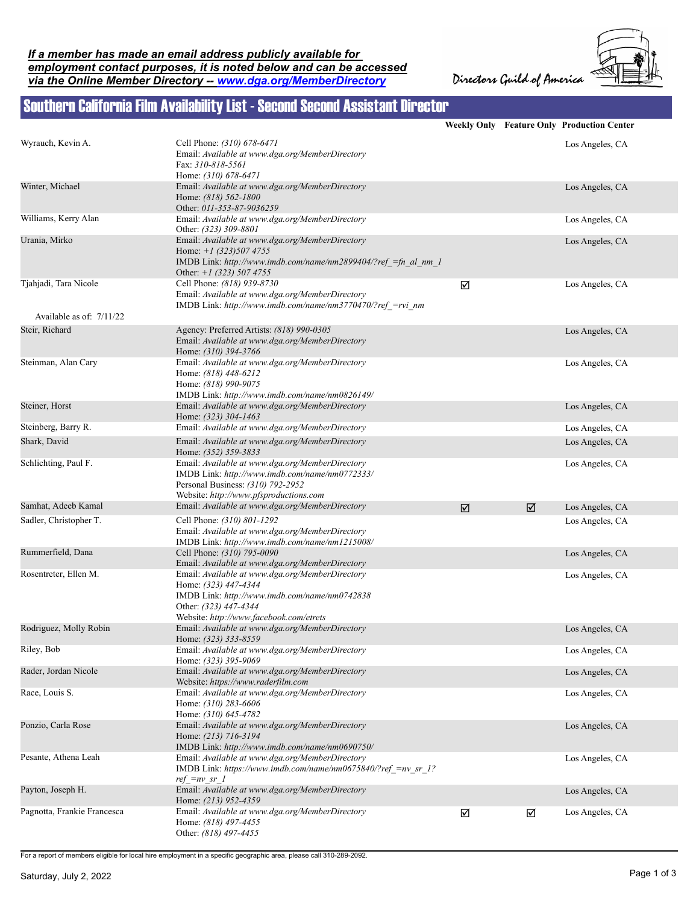Directors Guild of America



## Southern California Film Availability List - Second Second Assistant Director

|                             |                                                                                                                                                                                              |   |                         | Weekly Only Feature Only Production Center |
|-----------------------------|----------------------------------------------------------------------------------------------------------------------------------------------------------------------------------------------|---|-------------------------|--------------------------------------------|
| Wyrauch, Kevin A.           | Cell Phone: (310) 678-6471<br>Email: Available at www.dga.org/MemberDirectory<br>Fax: 310-818-5561<br>Home: (310) 678-6471                                                                   |   |                         | Los Angeles, CA                            |
| Winter, Michael             | Email: Available at www.dga.org/MemberDirectory<br>Home: (818) 562-1800<br>Other: 011-353-87-9036259                                                                                         |   |                         | Los Angeles, CA                            |
| Williams, Kerry Alan        | Email: Available at www.dga.org/MemberDirectory<br>Other: (323) 309-8801                                                                                                                     |   |                         | Los Angeles, CA                            |
| Urania, Mirko               | Email: Available at www.dga.org/MemberDirectory<br>Home: $+1$ (323) 507 4755<br>IMDB Link: http://www.imdb.com/name/nm2899404/?ref =fn al nm 1<br>Other: $+1$ (323) 507 4755                 |   |                         | Los Angeles, CA                            |
| Tjahjadi, Tara Nicole       | Cell Phone: (818) 939-8730<br>Email: Available at www.dga.org/MemberDirectory<br>IMDB Link: http://www.imdb.com/name/nm3770470/?ref =rvi nm                                                  | ☑ |                         | Los Angeles, CA                            |
| Available as of: 7/11/22    |                                                                                                                                                                                              |   |                         |                                            |
| Steir, Richard              | Agency: Preferred Artists: (818) 990-0305<br>Email: Available at www.dga.org/MemberDirectory<br>Home: (310) 394-3766                                                                         |   |                         | Los Angeles, CA                            |
| Steinman, Alan Cary         | Email: Available at www.dga.org/MemberDirectory<br>Home: (818) 448-6212<br>Home: (818) 990-9075<br>IMDB Link: http://www.imdb.com/name/nm0826149/                                            |   |                         | Los Angeles, CA                            |
| Steiner, Horst              | Email: Available at www.dga.org/MemberDirectory<br>Home: (323) 304-1463                                                                                                                      |   |                         | Los Angeles, CA                            |
| Steinberg, Barry R.         | Email: Available at www.dga.org/MemberDirectory                                                                                                                                              |   |                         | Los Angeles, CA                            |
| Shark, David                | Email: Available at www.dga.org/MemberDirectory<br>Home: (352) 359-3833                                                                                                                      |   |                         | Los Angeles, CA                            |
| Schlichting, Paul F.        | Email: Available at www.dga.org/MemberDirectory<br>IMDB Link: http://www.imdb.com/name/nm0772333/<br>Personal Business: (310) 792-2952<br>Website: http://www.pfsproductions.com             |   |                         | Los Angeles, CA                            |
| Samhat, Adeeb Kamal         | Email: Available at www.dga.org/MemberDirectory                                                                                                                                              | ☑ | $\overline{\mathbf{M}}$ | Los Angeles, CA                            |
| Sadler, Christopher T.      | Cell Phone: (310) 801-1292<br>Email: Available at www.dga.org/MemberDirectory<br>IMDB Link: http://www.imdb.com/name/nm1215008/                                                              |   |                         | Los Angeles, CA                            |
| Rummerfield, Dana           | Cell Phone: (310) 795-0090<br>Email: Available at www.dga.org/MemberDirectory                                                                                                                |   |                         | Los Angeles, CA                            |
| Rosentreter, Ellen M.       | Email: Available at www.dga.org/MemberDirectory<br>Home: (323) 447-4344<br>IMDB Link: http://www.imdb.com/name/nm0742838<br>Other: (323) 447-4344<br>Website: http://www.facebook.com/etrets |   |                         | Los Angeles, CA                            |
| Rodriguez, Molly Robin      | Email: Available at www.dga.org/MemberDirectory<br>Home: (323) 333-8559                                                                                                                      |   |                         | Los Angeles, CA                            |
| Riley, Bob                  | Email: Available at www.dga.org/MemberDirectory<br>Home: (323) 395-9069                                                                                                                      |   |                         | Los Angeles, CA                            |
| Rader, Jordan Nicole        | Email: Available at www.dga.org/MemberDirectory<br>Website: https://www.raderfilm.com                                                                                                        |   |                         | Los Angeles, CA                            |
| Race, Louis S.              | Email: Available at www.dga.org/MemberDirectory<br>Home: (310) 283-6606<br>Home: (310) 645-4782                                                                                              |   |                         | Los Angeles, CA                            |
| Ponzio, Carla Rose          | Email: Available at www.dga.org/MemberDirectory<br>Home: (213) 716-3194<br>IMDB Link: http://www.imdb.com/name/nm0690750/                                                                    |   |                         | Los Angeles, CA                            |
| Pesante, Athena Leah        | Email: Available at www.dga.org/MemberDirectory<br>IMDB Link: https://www.imdb.com/name/nm0675840/?ref =nv sr 1?<br>$ref = nv sr$ 1                                                          |   |                         | Los Angeles, CA                            |
| Payton, Joseph H.           | Email: Available at www.dga.org/MemberDirectory<br>Home: (213) 952-4359                                                                                                                      |   |                         | Los Angeles, CA                            |
| Pagnotta, Frankie Francesca | Email: Available at www.dga.org/MemberDirectory<br>Home: (818) 497-4455<br>Other: (818) 497-4455                                                                                             | ☑ | ☑                       | Los Angeles, CA                            |

For a report of members eligible for local hire employment in a specific geographic area, please call 310-289-2092.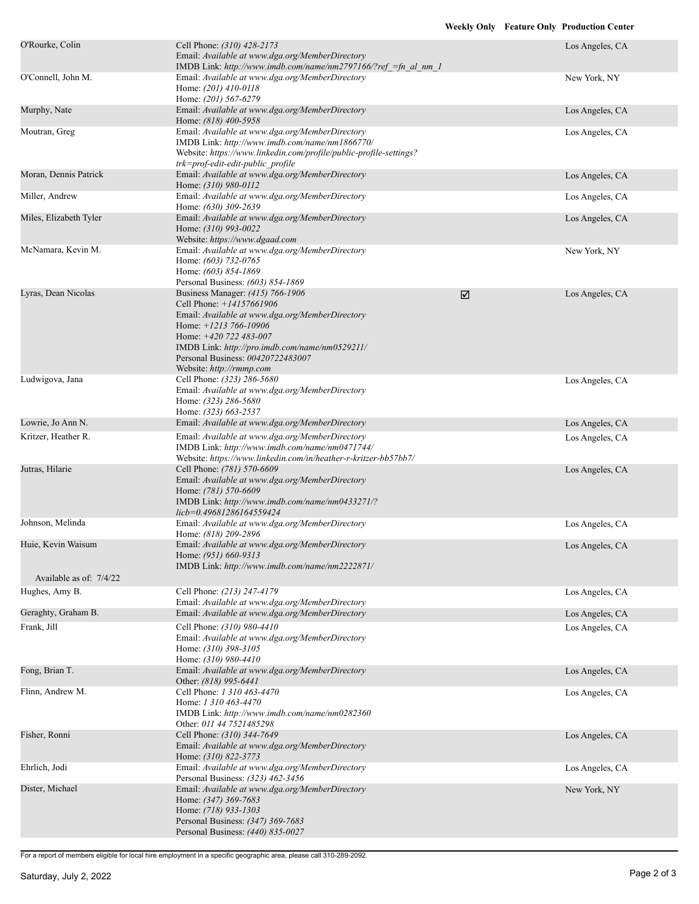| O'Rourke, Colin                           | Cell Phone: (310) 428-2173<br>Email: Available at www.dga.org/MemberDirectory<br>IMDB Link: http://www.imdb.com/name/nm2797166/?ref =fn al nm 1                                                                                                                                            |   | Los Angeles, CA                    |
|-------------------------------------------|--------------------------------------------------------------------------------------------------------------------------------------------------------------------------------------------------------------------------------------------------------------------------------------------|---|------------------------------------|
| O'Connell, John M.                        | Email: Available at www.dga.org/MemberDirectory<br>Home: (201) 410-0118<br>Home: (201) 567-6279                                                                                                                                                                                            |   | New York, NY                       |
| Murphy, Nate                              | Email: Available at www.dga.org/MemberDirectory<br>Home: (818) 400-5958                                                                                                                                                                                                                    |   | Los Angeles, CA                    |
| Moutran, Greg                             | Email: Available at www.dga.org/MemberDirectory<br>IMDB Link: http://www.imdb.com/name/nm1866770/<br>Website: https://www.linkedin.com/profile/public-profile-settings?<br>trk=prof-edit-edit-public profile                                                                               |   | Los Angeles, CA                    |
| Moran, Dennis Patrick                     | Email: Available at www.dga.org/MemberDirectory<br>Home: (310) 980-0112                                                                                                                                                                                                                    |   | Los Angeles, CA                    |
| Miller, Andrew                            | Email: Available at www.dga.org/MemberDirectory<br>Home: (630) 309-2639                                                                                                                                                                                                                    |   | Los Angeles, CA                    |
| Miles, Elizabeth Tyler                    | Email: Available at www.dga.org/MemberDirectory<br>Home: (310) 993-0022<br>Website: https://www.dgaad.com                                                                                                                                                                                  |   | Los Angeles, CA                    |
| McNamara, Kevin M.                        | Email: Available at www.dga.org/MemberDirectory<br>Home: (603) 732-0765<br>Home: (603) 854-1869<br>Personal Business: (603) 854-1869                                                                                                                                                       |   | New York, NY                       |
| Lyras, Dean Nicolas                       | Business Manager: (415) 766-1906<br>Cell Phone: $+14157661906$<br>Email: Available at www.dga.org/MemberDirectory<br>Home: $+1213766-10906$<br>Home: $+420$ 722 483-007<br>IMDB Link: http://pro.imdb.com/name/nm0529211/<br>Personal Business: 00420722483007<br>Website: http://rmmp.com | ☑ | Los Angeles, CA                    |
| Ludwigova, Jana                           | Cell Phone: (323) 286-5680<br>Email: Available at www.dga.org/MemberDirectory<br>Home: (323) 286-5680<br>Home: (323) 663-2537                                                                                                                                                              |   | Los Angeles, CA                    |
| Lowrie, Jo Ann N.                         | Email: Available at www.dga.org/MemberDirectory                                                                                                                                                                                                                                            |   | Los Angeles, CA                    |
| Kritzer, Heather R.                       | Email: Available at www.dga.org/MemberDirectory<br>IMDB Link: http://www.imdb.com/name/nm0471744/<br>Website: https://www.linkedin.com/in/heather-r-kritzer-bb57bb7/                                                                                                                       |   | Los Angeles, CA                    |
| Jutras, Hilarie                           | Cell Phone: (781) 570-6609<br>Email: Available at www.dga.org/MemberDirectory<br>Home: (781) 570-6609<br>IMDB Link: http://www.imdb.com/name/nm0433271/?<br>licb=0.49681286164559424                                                                                                       |   | Los Angeles, CA                    |
| Johnson, Melinda                          | Email: Available at www.dga.org/MemberDirectory<br>Home: (818) 209-2896                                                                                                                                                                                                                    |   | Los Angeles, CA                    |
| Huie, Kevin Waisum                        | Email: Available at www.dga.org/MemberDirectory<br>Home: (951) 660-9313<br>IMDB Link: http://www.imdb.com/name/nm2222871/                                                                                                                                                                  |   | Los Angeles, CA                    |
| Available as of: 7/4/22<br>Hughes, Amy B. | Cell Phone: (213) 247-4179                                                                                                                                                                                                                                                                 |   | Los Angeles, CA                    |
|                                           | Email: Available at www.dga.org/MemberDirectory                                                                                                                                                                                                                                            |   |                                    |
| Geraghty, Graham B.<br>Frank, Jill        | Email: Available at www.dga.org/MemberDirectory<br>Cell Phone: (310) 980-4410                                                                                                                                                                                                              |   | Los Angeles, CA<br>Los Angeles, CA |
|                                           | Email: Available at www.dga.org/MemberDirectory<br>Home: (310) 398-3105<br>Home: (310) 980-4410                                                                                                                                                                                            |   |                                    |
| Fong, Brian T.                            | Email: Available at www.dga.org/MemberDirectory<br>Other: (818) 995-6441                                                                                                                                                                                                                   |   | Los Angeles, CA                    |
| Flinn, Andrew M.                          | Cell Phone: 1 310 463-4470<br>Home: 1 310 463-4470<br>IMDB Link: http://www.imdb.com/name/nm0282360<br>Other: 011 44 7521485298                                                                                                                                                            |   | Los Angeles, CA                    |
| Fisher, Ronni                             | Cell Phone: (310) 344-7649<br>Email: Available at www.dga.org/MemberDirectory<br>Home: (310) 822-3773                                                                                                                                                                                      |   | Los Angeles, CA                    |
| Ehrlich, Jodi                             | Email: Available at www.dga.org/MemberDirectory<br>Personal Business: (323) 462-3456                                                                                                                                                                                                       |   | Los Angeles, CA                    |
| Dister, Michael                           | Email: Available at www.dga.org/MemberDirectory<br>Home: (347) 369-7683<br>Home: (718) 933-1303<br>Personal Business: (347) 369-7683<br>Personal Business: (440) 835-0027                                                                                                                  |   | New York, NY                       |
|                                           |                                                                                                                                                                                                                                                                                            |   |                                    |

For a report of members eligible for local hire employment in a specific geographic area, please call 310-289-2092.